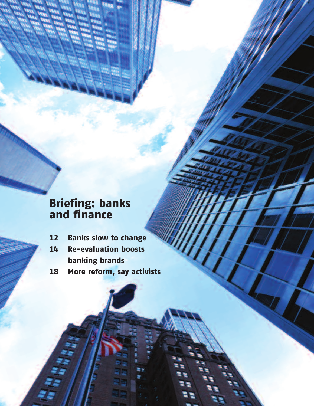# Briefing: banks and finance

- 12 Banks slow to change
- 14 Re-evaluation boosts banking brands
- 18 More reform, say activists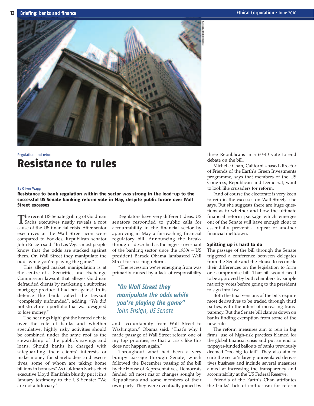

## Regulation and reform Resistance to rules

#### By Oliver Wagg

Resistance to bank regulation within the sector was strong in the lead-up to the successful US Senate banking reform vote in May, despite public furore over Wall Street excesses

The recent US Senate grilling of Goldman<br>
Sachs executives neatly reveals a root cause of the US financial crisis. After senior executives at the Wall Street icon were compared to bookies, Republican senator John Ensign said: "In Las Vegas most people know that the odds are stacked against them. On Wall Street they manipulate the odds while you're playing the game."

This alleged market manipulation is at the centre of a Securities and Exchange Commission lawsuit that alleges Goldman defrauded clients by marketing a subprime mortgage product it had bet against. In its defence the bank called the lawsuit "completely unfounded", adding: "We did not structure a portfolio that was designed to lose money."

The hearings highlight the heated debate over the role of banks and whether speculative, highly risky activities should be combined under the same roof as the stewardship of the public's savings and loans. Should banks be charged with safeguarding their clients' interests or make money for shareholders and executives, some of whom are taking home billions in bonuses? As Goldman Sachs chief executive Lloyd Blankfein bluntly put it in a January testimony to the US Senate: "We are not a fiduciary."

Regulators have very different ideas. US senators responded to public calls for accountability in the financial sector by approving in May a far-reaching financial regulatory bill. Announcing the breakthrough – described as the biggest overhaul of the banking sector since the 1930s – US president Barack Obama lambasted Wall Street for resisting reform.

"The recession we're emerging from was primarily caused by a lack of responsibility

### *"On Wall Street they manipulate the odds while you're playing the game" John Ensign, US Senate*

and accountability from Wall Street to Washington," Obama said. "That's why I made passage of Wall Street reform one of my top priorities, so that a crisis like this does not happen again."

Throughout what had been a very bumpy passage through Senate, which followed the December passing of the bill by the House of Representatives, Democrats fended off most major changes sought by Republicans and some members of their own party. They were eventually joined by three Republicans in a 60-40 vote to end debate on the bill.

Michelle Chan, California-based director of Friends of the Earth's Green Investments programme, says that members of the US Congress, Republican and Democrat, want to look like crusaders for reform.

"And of course the electorate is very keen to rein in the excesses on Wall Street," she says. But she suggests there are huge questions as to whether and how the ultimate financial reform package which emerges out of the Senate will have enough clout to essentially prevent a repeat of another financial meltdown.

### Splitting up is hard to do

The passage of the bill through the Senate triggered a conference between delegates from the Senate and the House to reconcile their differences on the legislation to form one compromise bill. That bill would need to be approved by both chambers by simple majority votes before going to the president to sign into law.

Both the final versions of the bills require most derivatives to be traded through third parties, with the intent of increasing transparency. But the Senate bill clamps down on banks finding exemption from some of the new rules.

The reform measures aim to rein in big firms' use of high-risk practices blamed for the global financial crisis and put an end to taxpayer-funded bailouts of banks previously deemed "too big to fail". They also aim to curb the sector's largely unregulated derivatives business and include several measures aimed at increasing the transparency and accountability at the US Federal Reserve.

Friend's of the Earth's Chan attributes the banks' lack of enthusiasm for reform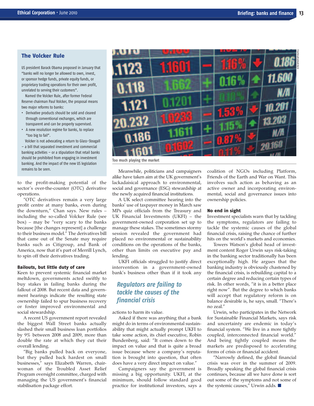### The Volcker Rule

US president Barack Obama proposed in January that "banks will no longer be allowed to own, invest, or sponsor hedge funds, private equity funds, or proprietary trading operations for their own profit, unrelated to serving their customers".

Named the Volcker Rule, after former Federal Reserve chairman Paul Volcker, the proposal means two major reforms to banks:

- **•** Derivative products should be sold and cleared through conventional exchanges, which are transparent and can be properly supervised.
- **•** A new resolution regime for banks, to replace "too big to fail".

Volcker is not advocating a return to Glass-Steagall – a bill that separated investment and commercial banking activities – or a stipulation that retail banks should be prohibited from engaging in investment banking. And the impact of the new US legislation remains to be seen. Meanwhile, politicians and campaigners

to the profit-making potential of the sector's over-the-counter (OTC) derivative operations.

"OTC derivatives remain a very large profit centre at many banks, even during the downturn," Chan says. New rules – including the so-called Volcker Rule (see box) – may be "very scary to the banks because [the changes represent] a challenge to their business model." The derivatives bill that came out of the Senate may require banks such as Citigroup, and Bank of America, now that it's part of Merrill Lynch, to spin off their derivatives trading.

### Bailouts, but little duty of care

Keen to prevent systemic financial market meltdown, governments acted swiftly to buy stakes in failing banks during the fallout of 2008. But recent data and government hearings indicate the resulting state ownership failed to spur business recovery or foster improved environmental and social stewardship.

A recent US government report revealed the biggest Wall Street banks actually slashed their small business loan portfolios by 9% between 2008 and 2009, more than double the rate at which they cut their overall lending.

"Big banks pulled back on everyone, but they pulled back hardest on small businesses," says Elizabeth Warren, chairwoman of the Troubled Asset Relief Program oversight committee, charged with managing the US government's financial stabilisation package effort.



**Too much playing the market**

alike have taken aim at the UK government's lackadaisical approach to environmental, social and governance (ESG) stewardship at the newly acquired financial institutions.

A UK select committee hearing into the banks' use of taxpayer money in March saw MPs quiz officials from the Treasury and UK Financial Investments (UKFI) – the government-owned corporation set up to manage these stakes. The sometimes stormy session revealed the government had placed no environmental or sustainability conditions on the operations of the banks, other than limits on executive pay and lending.

UKFI officials struggled to justify direct intervention in a government-owned bank's business other than if it took any

### *Regulators are failing to tackle the causes of the financial crisis*

actions to harm its value.

Asked if there was anything that a bank might do in terms of environmental sustainability that might actually prompt UKFI to take some action, its chief executive, Robin Bundenberg, said: "It comes down to the impact on value and that is quite a broad issue because where a company's reputation is brought into question, that often does have a very direct impact on value."

Campaigners say the government is missing a big opportunity. UKFI, at the minimum, should follow standard good practice for institutional investors, says a coalition of NGOs including Platform, Friends of the Earth and War on Want. This involves such action as behaving as an active owner and incorporating environmental, social and governance issues into ownership policies.

### No end in sight

Investment specialists warn that by tackling the symptoms, regulators are failing to tackle the systemic causes of the global financial crisis, raising the chance of further hits on the world's markets and economies.

Towers Watson's global head of investment content Roger Urwin says risk-taking in the banking sector traditionally has been exceptionally high. He argues that the banking industry is obviously chastened by the financial crisis, is rebuilding capital to a certain degree and reducing certain types of risk. In other words, "it is in a better place right now". But the degree to which banks will accept that regulatory reform is on balance desirable is, he says, small. "There's no zeal."

Urwin, who participates in the Network for Sustainable Financial Markets, says risk and uncertainty are endemic in today's financial system. "We live in a more tightly coupled, interconnected financial world." And being tightly coupled means the markets are predisposed to accelerating forms of crisis or financial accident.

"Narrowly defined, the global financial crisis was over in the summer of 2009. Broadly speaking the global financial crisis continues, because all we have done is sort out some of the symptoms and not some of the systemic causes," Urwin adds. ■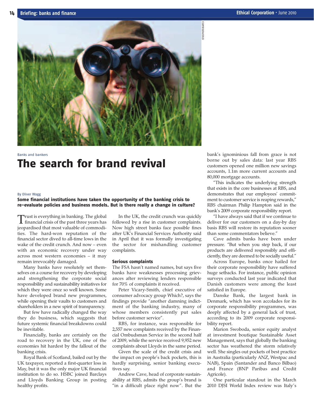

## Banks and bankers The search for brand revival

#### By Oliver Wagg

### Some financial institutions have taken the opportunity of the banking crisis to re-evaluate policies and business models. But is there really a change in culture?

Trust is everything in banking. The global financial crisis of the past three years has jeopardised that most valuable of commodities. The hard-won reputation of the financial sector dived to all-time lows in the wake of the credit crunch. And now – even with an economic recovery under way across most western economies – it may remain irrevocably damaged.

Many banks have resolutely set themselves on a course for recovery by developing and strengthening the corporate social responsibility and sustainability initiatives for which they were once so well known. Some have developed brand new programmes, while opening their vaults to customers and shareholders in a new spirit of transparency.

But few have radically changed the way they do business, which suggests that future systemic financial breakdowns could be inevitable.

Financially, banks are certainly on the road to recovery in the UK, one of the economies hit hardest by the fallout of the banking crisis.

Royal Bank of Scotland, bailed out by the UK taxpayer, reported a first-quarter loss in May, but it was the only major UK financial institution to do so. HSBC joined Barclays and Lloyds Banking Group in posting healthy profits.

In the UK, the credit crunch was quickly followed by a rise in customer complaints. Now high street banks face possible fines after UK's Financial Services Authority said in April that it was formally investigating the sector for mishandling customer complaints.

#### Serious complaints

The FSA hasn't named names, but says five banks have weaknesses processing grievances after reviewing lenders responsible for 70% of complaints it received.

Peter Vicary-Smith, chief executive of consumer advocacy group Which?, says the findings provide "another damning indictment of the banking industry, many of whose members consistently put sales before customer service".

RBS, for instance, was responsible for 2,557 new complaints received by the Financial Ombudsman Service in the second half of 2009, while the service received 9,952 new complaints about Lloyds in the same period.

Given the scale of the credit crisis and the impact on people's back pockets, this is hardly surprising, senior banking executives say.

Andrew Cave, head of corporate sustainability at RBS, admits the group's brand is "in a difficult place right now". But the bank's ignominious fall from grace is not borne out by sales data: last year RBS customers opened one million new savings accounts, 1.1m more current accounts and 80,000 mortgage accounts.

"This indicates the underlying strength that exists in the core businesses at RBS, and demonstrates that our employees' commitment to customer service is reaping rewards," RBS chairman Philip Hampton said in the bank's 2009 corporate responsibility report.

"I have always said that if we continue to deliver for our customers on a day-by day basis RBS will restore its reputation sooner than some commentators believe."

Cave admits banks have been under pressure. "But when you step back, if our products are delivered responsibly and efficiently, they are deemed to be socially useful."

Across Europe, banks once hailed for their corporate responsibility have suffered huge setbacks. For instance, public opinion surveys conducted last year indicated that Danish customers were among the least satisfied in Europe.

Danske Bank, the largest bank in Denmark, which has won accolades for its corporate responsibility programmes, was deeply affected by a general lack of trust, according to its 2009 corporate responsibility report.

Marion Swoboda, senior equity analyst at investment boutique Sustainable Asset Management, says that globally the banking sector has weathered the storm relatively well. She singles out pockets of best practice in Australia (particularly ANZ, Westpac and NAB), Spain (Santander and Banco Bilbao) and France (BNP Paribas and Credit Agricole).

One particular standout in the March 2010 DJSI World Index review was Italy's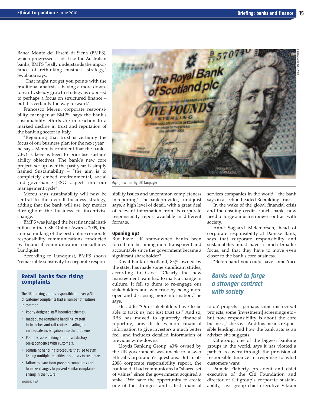Banca Monte dei Paschi di Siena (BMPS), which progressed a lot. Like the Australian banks, BMPS "really understands the importance of rethinking business strategy," Swoboda says.

"That might not get you points with the traditional analysts – having a more downto-earth, steady growth strategy as opposed to perhaps a focus on structured finance – but it is certainly the way forward."

Francesco Mereu, corporate responsibility manager at BMPS, says the bank's sustainability efforts are in reaction to a marked decline in trust and reputation of the banking sector in Italy.

"Regaining that trust is certainly the focus of our business plan for the next year," he says. Mereu is confident that the bank's CEO is keen is keen to prioritise sustainability objectives. The bank's new core project, set up over the past year, is simply named Sustainability – "the aim is to completely embed environmental, social and governance [ESG] aspects into our management cycle".

Mereu says sustainability will now be central to the overall business strategy, adding that the bank will use key metrics throughout the business to incentivise change.

BMPS was judged the best financial institution in the CSR Online Awards 2009, the annual ranking of the best online corporate responsibility communications conducted by financial communication consultancy Lundquist.

According to Lundquist, BMPS shows "remarkable sensitivity to corporate respon-

### Retail banks face rising complaints

The UK banking groups responsible for over 70% of customer complaints had a number of features in common.

- **•** Poorly designed staff incentive schemes.
- **•** Inadequate complaint handling by staff in branches and call centres, leading to inadequate investigation into the problems.
- **•** Poor decision-making and unsatisfactory correspondence with customers.
- **•** Complaint handling procedures that led to staff issuing multiple, repetitive responses to customers.
- **•** Failure to learn from previous complaints and to make changes to prevent similar complaints arising in the future.



**£4.15 owned by UK taxpayer**

sibility issues and uncommon completeness in reporting". The bank provides, Lundquist says, a high level of detail, with a great deal of relevant information from its corporate responsibility report available in different formats.

#### Opening up?

But have UK state-owned banks been forced into becoming more transparent and accountable since the government became a significant shareholder?

Royal Bank of Scotland, 83% owned by the state, has made some significant strides, according to Cave. "Clearly the new management team had to mark a change in culture. It fell to them to re-engage our stakeholders and win trust by being more open and disclosing more information," he says.

He adds: "Our stakeholders have to be able to track us, not just trust us." And so, RBS has moved to quarterly financial reporting, now discloses more financial information to give investors a much better feel, and includes detailed information of previous write-downs.

Lloyds Banking Group, 43% owned by the UK government, was unable to answer Ethical Corporation's questions. But in its 2008 corporate responsibility report, the bank said it had communicated a "shared set of values" since the government acquired a stake. "We have the opportunity to create one of the strongest and safest financial services companies in the world," the bank says in a section headed Rebuilding Trust.

In the wake of the global financial crisis and the ensuing credit crunch, banks now need to forge a much stronger contract with society.

Anne Søgaard Melchiorsen, head of corporate responsibility at Danske Bank, says that corporate responsibility and sustainability must have a much broader focus, and that they have to move even closer to the bank's core business.

"Beforehand you could have some 'nice

### *Banks need to forge a stronger contract with society*

to do' projects – perhaps some microcredit projects, some [investment] screenings etc – but now responsibility is about the core business," she says. And this means responsible lending, and how the bank acts as an adviser, she suggests.

Citigroup, one of the biggest banking groups in the world, says it has plotted a path to recovery through the provision of responsible finance in response to what customers want.

Pamela Flaherty, president and chief executive of the Citi Foundation and director of Citigroup's corporate sustainability, says group chief executive Vikram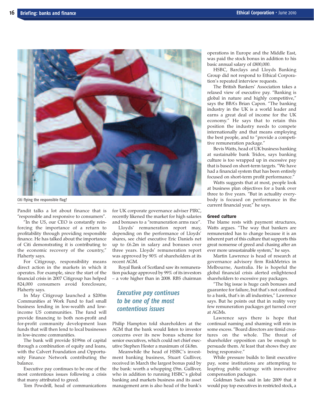

**Citi flying the responsible flag?**

Pandit talks a lot about finance that is "responsible and responsive to consumers".

"In the US, our CEO is constantly reinforcing the importance of a return to profitability through providing responsible finance. He has talked about the importance of Citi demonstrating it is contributing to the economic recovery of the country," Flaherty says.

For Citigroup, responsibility means direct action in the markets in which it operates. For example, since the start of the financial crisis in 2007 Citigroup has helped 824,000 consumers avoid foreclosure, Flaherty says.

In May Citigroup launched a \$200m Communities at Work Fund to fuel small business lending in low-wealth and lowincome US communities. The fund will provide financing to both non-profit and for-profit community development loan funds that will then lend to local businesses in low-income communities.

The bank will provide \$199m of capital through a combination of equity and loans, with the Calvert Foundation and Opportunity Finance Network contributing the balance.

Executive pay continues to be one of the most contentious issues following a crisis that many attributed to greed.

Tom Powdrill, head of communications

for UK corporate governance adviser PIRC, recently likened the market for high salaries and bonuses to a "remuneration arms race".

Lloyds' remuneration report may, depending on the performance of Lloyds' shares, see chief executive Eric Daniels net up to £6.2m in salary and bonuses over three years. Lloyds' remuneration report was approved by 90% of shareholders at its recent AGM.

Royal Bank of Scotland saw its remuneration package approved by 99% of its investors – a vote higher than in 2008. RBS chairman

### *Executive pay continues to be one of the most contentious issues*

Philip Hampton told shareholders at the AGM that the bank would listen to investor concerns over its new bonus scheme for senior executives, which could net chief executive Stephen Hester a maximum of £4.8m.

Meanwhile the head of HSBC's investment banking business, Stuart Gulliver, received in March the largest bonus paid by the bank: worth a whopping £9m. Gulliver, who in addition to running HSBC's global banking and markets business and its asset management arm is also head of the bank's operations in Europe and the Middle East, was paid the stock bonus in addition to his basic annual salary of £800,000.

HSBC, Barclays and Lloyds Banking Group did not respond to Ethical Corporation's repeated interview requests.

The British Bankers' Association takes a relaxed view of executive pay. "Banking is global in nature and highly competitive," says the BBA's Brian Capon. "The banking industry in the UK is a world leader and earns a great deal of income for the UK economy." He says that to retain this position the industry needs to compete internationally and that means employing the best people, and to "provide a competitive remuneration package."

Bevis Watts, head of UK business banking at sustainable bank Tridos, says banking culture is too wrapped up in excessive pay that is based on short-term targets. "We have had a financial system that has been entirely focused on short-term profit performance."

Watts suggests that at most, people look at business plan objectives for a bank over three to five years. "But in actuality everybody is focused on performance in the current financial year," he says.

### Greed culture

The blame rests with payment structures, Watts argues. "The way that bankers are remunerated has to change because it is an inherent part of this culture that supports this great nonsense of greed and chasing after an ever more unsustainable system," he says.

Martin Lawrence is head of research at governance advisory firm RiskMetrics in Melbourne, Australia. He is hopeful the global financial crisis alerted enlightened shareholders to excessive pay packages.

"The big issue is huge cash bonuses and guarantee for failure, but that's not confined to a bank, that's in all industries," Lawrence says. But he points out that in reality very few remuneration packages get turned over at AGMs.

Lawrence says there is hope that continual naming and shaming will rein in some excess. "Board directors are timid creatures on the whole. The threat of shareholder opposition can be enough to persuade them. At least that shows they are being responsive."

While pressure builds to limit executive pay, some institutions are attempting to leapfrog public outrage with innovative compensation packages.

Goldman Sachs said in late 2009 that it would pay top executives in restricted stock, a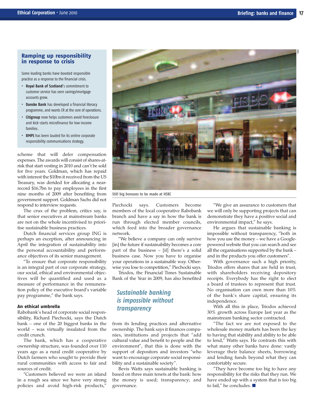### Ramping up responsibility in response to crisis

Some leading banks have boosted responsible practice as a response to the financial crisis.

- **• Royal Bank of Scotland**'s commitment to customer service has seen savings/mortgage accounts grow.
- **• Danske Bank** has developed a financial literacy programme, and wants CR at the core of operations.
- **• Citigroup** now helps customers avoid foreclosure and kick-starts microfinance for low income families.
- **• BMPS** has been lauded for its online corporate responsibility communications strategy.

scheme that will defer compensation expenses. The awards will consist of shares-atrisk that start vesting in 2010 and can't be sold for five years. Goldman, which has repaid with interest the \$10bn it received from the US Treasury, was derided for allocating a nearrecord \$16.7bn to pay employees in the first nine months of 2009 after benefiting from government support. Goldman Sachs did not respond to interview requests.

The crux of the problem, critics say, is that senior executives at mainstream banks are not on the whole incentivised to prioritise sustainable business practices.

Dutch financial services group ING is perhaps an exception, after announcing in April the integration of sustainability into the personal accountability and performance objectives of its senior management.

"To ensure that corporate responsibility is an integral part of our corporate strategy, our social, ethical and environmental objectives will be quantified and used as a measure of performance in the remuneration policy of the executive board's variable pay programme," the bank says.

### An ethical umbrella

Rabobank's head of corporate social responsibility, Richard Piechocki, says the Dutch bank – one of the 20 biggest banks in the world – was virtually insulated from the credit crunch.

The bank, which has a cooperative ownership structure, was founded over 110 years ago as a rural credit cooperative by Dutch farmers who sought to provide their rural communities with access to fair and sources of credit.

"Customers believed we were an island in a rough sea since we have very strong policies and avoid high-risk products,"



**Still big bonuses to be made at HSBC**

Piechocki says. Customers become members of the local cooperative Rabobank branch and have a say in how the bank is run through elected member councils, which feed into the broader governance network.

"We believe a company can only survive [in] the future if sustainability becomes a core part of the business – [if] there's a solid business case. Now you have to organise your operations in a sustainable way. Otherwise you lose to competition," Piechocki says.

Triodos, the Financial Times Sustainable Bank of the Year in 2009, has also benefited

### *Sustainable banking is impossible without transparency*

from its lending practices and alternative ownership. The bank says it finances companies, institutions and projects that "add cultural value and benefit to people and the environment", that this is done with the support of depositors and investors "who want to encourage corporate social responsibility and a sustainable society".

Bevis Watts says sustainable banking is based on three main tenets at the bank: how the money is used; transparency; and governance.

"We give an assurance to customers that we will only be supporting projects that can demonstrate they have a positive social and environmental impact," he says.

He argues that sustainable banking is impossible without transparency, "both in how you use the money – we have a Googlepowered website that you can search and see all the organisations supported by the bank – and in the products you offer customers".

With governance such a high priority, Triodos offers shares that are held in trust, with shareholders receiving depository receipts. Everybody has the right to elect a board of trustees to represent that trust. No organisation can own more than 10% of the bank's share capital, ensuring its independence.

With all this in place, Triodos achieved 30% growth across Europe last year as the mainstream banking sector contracted.

"The fact we are not exposed to the wholesale money markets has been the key to having that stability and ability to be able to lend," Watts says. He contrasts this with what many other banks have done: vastly leverage their balance sheets, borrowing and lending funds beyond what they can comfortably secure.

"They have become too big to have any responsibility for the risks that they run. We have ended up with a system that is too big to fail," he concludes. ■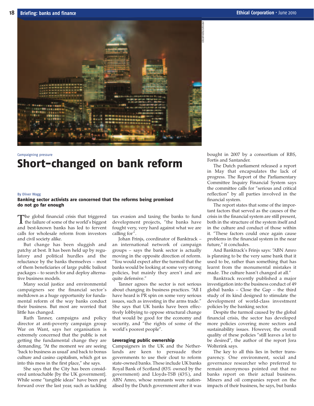

## Campaigning pressure Short-changed on bank reform

#### By Oliver Wagg

### Banking sector activists are concerned that the reforms being promised do not go far enough

The global financial crisis that triggered<br>the failure of some of the world's biggest and best-known banks has led to fervent calls for wholesale reform from investors and civil society alike.

But change has been sluggish and patchy at best. It has been held up by regulatory and political hurdles and the reluctance by the banks themselves – most of them beneficiaries of large public bailout packages – to search for and deploy alternative business models.

Many social justice and environmental campaigners see the financial sector's meltdown as a huge opportunity for fundamental reform of the way banks conduct their business. But most are worried that little has changed.

Ruth Tanner, campaigns and policy director at anti-poverty campaign group War on Want, says her organisation is extremely concerned that the public is not getting the fundamental change they are demanding. "At the moment we are seeing 'back to business as usual' and back to bonus culture and casino capitalism, which got us into this mess in the first place," she says.

She says that the City has been considered untouchable [by the UK government]. While some "tangible ideas" have been put forward over the last year, such as tackling

tax evasion and taxing the banks to fund development projects, "the banks have fought very, very hard against what we are calling for".

Johan Frinjs, coordinator of Banktrack – an international network of campaign groups – says the bank sector is actually moving in the opposite direction of reform. "You would expect after the turmoil that the banks would be looking at some very strong policies, but mainly they aren't and are quite defensive."

Tanner agrees the sector is not serious about changing its business practices. "All I have heard is PR spin on some very serious issues, such as investing in the arms trade." She says that UK banks have been effectively lobbying to oppose structural change that would be good for the economy and security, and "the rights of some of the world's poorest people".

#### Leveraging public ownership

Campaigners in the UK and the Netherlands are keen to persuade their governments to use their clout to reform state-owned banks. These include UK banks Royal Bank of Scotland (83% owned by the government) and Lloyds-TSB (43%), and ABN Amro, whose remnants were nationalised by the Dutch government after it was bought in 2007 by a consortium of RBS, Fortis and Santander.

The Dutch parliament released a report in May that encapsulates the lack of progress. The Report of the Parliamentary Committee Inquiry Financial System says the committee calls for "serious and critical reflection" by all parties involved in the financial system.

The report states that some of the important factors that served as the causes of the crisis in the financial system are still present, both in the structure of the system itself and in the culture and conduct of those within it. "These factors could once again cause problems in the financial system in the near future," it concludes.

And Banktrack's Frinjs says: "ABN Amro is planning to be the very same bank that it used to be, rather than something that has learnt from the monumental mistakes it made. The culture hasn't changed at all."

Banktrack recently published a major investigation into the business conduct of 49 global banks – Close the Gap – the third study of its kind designed to stimulate the development of world-class investment policies by the banking sector.

Despite the turmoil caused by the global financial crisis, the sector has developed more policies covering more sectors and sustainability issues. However, the overall quality of these policies "still leaves a lot to be desired", the author of the report Jora Wolterink says.

The key to all this lies in better transparency. One environment, social and governance researcher who preferred to remain anonymous pointed out that no banks report on their actual business. Miners and oil companies report on the impacts of their business, he says, but banks